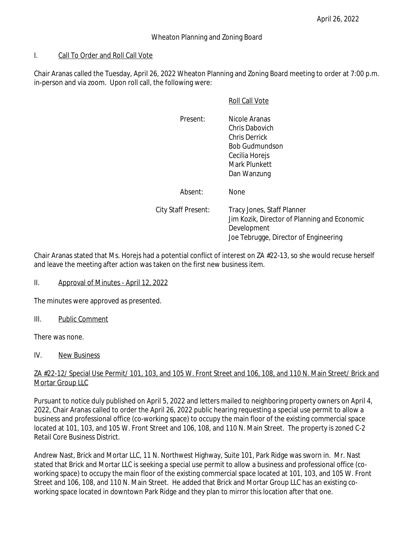#### I. Call To Order and Roll Call Vote

Chair Aranas called the Tuesday, April 26, 2022 Wheaton Planning and Zoning Board meeting to order at 7:00 p.m. in-person and via zoom. Upon roll call, the following were:

#### Roll Call Vote

| Present:                   | Nicole Aranas<br>Chris Dabovich<br>Chris Derrick<br><b>Bob Gudmundson</b><br>Cecilia Horejs<br>Mark Plunkett<br>Dan Wanzung        |
|----------------------------|------------------------------------------------------------------------------------------------------------------------------------|
| Absent:                    | <b>None</b>                                                                                                                        |
| <b>City Staff Present:</b> | Tracy Jones, Staff Planner<br>Jim Kozik, Director of Planning and Economic<br>Development<br>Joe Tebrugge, Director of Engineering |

Chair Aranas stated that Ms. Horejs had a potential conflict of interest on ZA #22-13, so she would recuse herself and leave the meeting after action was taken on the first new business item.

# II. Approval of Minutes - April 12, 2022

The minutes were approved as presented.

III. Public Comment

There was none.

IV. New Business

# ZA #22-12/ Special Use Permit/ 101, 103, and 105 W. Front Street and 106, 108, and 110 N. Main Street/ Brick and Mortar Group LLC

Pursuant to notice duly published on April 5, 2022 and letters mailed to neighboring property owners on April 4, 2022, Chair Aranas called to order the April 26, 2022 public hearing requesting a special use permit to allow a business and professional office (co-working space) to occupy the main floor of the existing commercial space located at 101, 103, and 105 W. Front Street and 106, 108, and 110 N. Main Street. The property is zoned C-2 Retail Core Business District.

Andrew Nast, Brick and Mortar LLC, 11 N. Northwest Highway, Suite 101, Park Ridge was sworn in. Mr. Nast stated that Brick and Mortar LLC is seeking a special use permit to allow a business and professional office (coworking space) to occupy the main floor of the existing commercial space located at 101, 103, and 105 W. Front Street and 106, 108, and 110 N. Main Street. He added that Brick and Mortar Group LLC has an existing coworking space located in downtown Park Ridge and they plan to mirror this location after that one.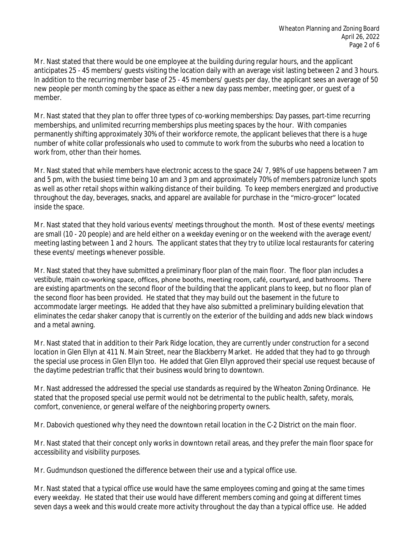Mr. Nast stated that there would be one employee at the building during regular hours, and the applicant anticipates 25 - 45 members/ guests visiting the location daily with an average visit lasting between 2 and 3 hours. In addition to the recurring member base of 25 - 45 members/ guests per day, the applicant sees an average of 50 new people per month coming by the space as either a new day pass member, meeting goer, or guest of a member.

Mr. Nast stated that they plan to offer three types of co-working memberships: Day passes, part-time recurring memberships, and unlimited recurring memberships plus meeting spaces by the hour. With companies permanently shifting approximately 30% of their workforce remote, the applicant believes that there is a huge number of white collar professionals who used to commute to work from the suburbs who need a location to work from, other than their homes.

Mr. Nast stated that while members have electronic access to the space 24/ 7, 98% of use happens between 7 am and 5 pm, with the busiest time being 10 am and 3 pm and approximately 70% of members patronize lunch spots as well as other retail shops within walking distance of their building. To keep members energized and productive throughout the day, beverages, snacks, and apparel are available for purchase in the "micro-grocer" located inside the space.

Mr. Nast stated that they hold various events/ meetings throughout the month. Most of these events/ meetings are small (10 - 20 people) and are held either on a weekday evening or on the weekend with the average event/ meeting lasting between 1 and 2 hours. The applicant states that they try to utilize local restaurants for catering these events/ meetings whenever possible.

Mr. Nast stated that they have submitted a preliminary floor plan of the main floor. The floor plan includes a vestibule, main co-working space, offices, phone booths, meeting room, café, courtyard, and bathrooms. There are existing apartments on the second floor of the building that the applicant plans to keep, but no floor plan of the second floor has been provided. He stated that they may build out the basement in the future to accommodate larger meetings. He added that they have also submitted a preliminary building elevation that eliminates the cedar shaker canopy that is currently on the exterior of the building and adds new black windows and a metal awning.

Mr. Nast stated that in addition to their Park Ridge location, they are currently under construction for a second location in Glen Ellyn at 411 N. Main Street, near the Blackberry Market. He added that they had to go through the special use process in Glen Ellyn too. He added that Glen Ellyn approved their special use request because of the daytime pedestrian traffic that their business would bring to downtown.

Mr. Nast addressed the addressed the special use standards as required by the Wheaton Zoning Ordinance. He stated that the proposed special use permit would not be detrimental to the public health, safety, morals, comfort, convenience, or general welfare of the neighboring property owners.

Mr. Dabovich questioned why they need the downtown retail location in the C-2 District on the main floor.

Mr. Nast stated that their concept only works in downtown retail areas, and they prefer the main floor space for accessibility and visibility purposes.

Mr. Gudmundson questioned the difference between their use and a typical office use.

Mr. Nast stated that a typical office use would have the same employees coming and going at the same times every weekday. He stated that their use would have different members coming and going at different times seven days a week and this would create more activity throughout the day than a typical office use. He added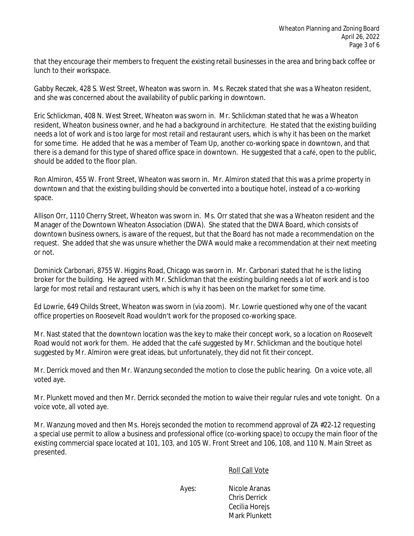that they encourage their members to frequent the existing retail businesses in the area and bring back coffee or lunch to their workspace.

Gabby Reczek, 428 S. West Street, Wheaton was sworn in. Ms. Reczek stated that she was a Wheaton resident, and she was concerned about the availability of public parking in downtown.

Eric Schlickman, 408 N. West Street, Wheaton was sworn in. Mr. Schlickman stated that he was a Wheaton resident, Wheaton business owner, and he had a background in architecture. He stated that the existing building needs a lot of work and is too large for most retail and restaurant users, which is why it has been on the market for some time. He added that he was a member of Team Up, another co-working space in downtown, and that there is a demand for this type of shared office space in downtown. He suggested that a café, open to the public, should be added to the floor plan.

Ron Almiron, 455 W. Front Street, Wheaton was sworn in. Mr. Almiron stated that this was a prime property in downtown and that the existing building should be converted into a boutique hotel, instead of a co-working space.

Allison Orr, 1110 Cherry Street, Wheaton was sworn in. Ms. Orr stated that she was a Wheaton resident and the Manager of the Downtown Wheaton Association (DWA). She stated that the DWA Board, which consists of downtown business owners, is aware of the request, but that the Board has not made a recommendation on the request. She added that she was unsure whether the DWA would make a recommendation at their next meeting or not.

Dominick Carbonari, 8755 W. Higgins Road, Chicago was sworn in. Mr. Carbonari stated that he is the listing broker for the building. He agreed with Mr. Schlickman that the existing building needs a lot of work and is too large for most retail and restaurant users, which is why it has been on the market for some time.

Ed Lowrie, 649 Childs Street, Wheaton was sworn in (via zoom). Mr. Lowrie questioned why one of the vacant office properties on Roosevelt Road wouldn't work for the proposed co-working space.

Mr. Nast stated that the downtown location was the key to make their concept work, so a location on Roosevelt Road would not work for them. He added that the café suggested by Mr. Schlickman and the boutique hotel suggested by Mr. Almiron were great ideas, but unfortunately, they did not fit their concept.

Mr. Derrick moved and then Mr. Wanzung seconded the motion to close the public hearing. On a voice vote, all voted aye.

Mr. Plunkett moved and then Mr. Derrick seconded the motion to waive their regular rules and vote tonight. On a voice vote, all voted aye.

Mr. Wanzung moved and then Ms. Horeis seconded the motion to recommend approval of ZA #22-12 requesting a special use permit to allow a business and professional office (co-working space) to occupy the main floor of the existing commercial space located at 101, 103, and 105 W. Front Street and 106, 108, and 110 N. Main Street as presented.

Roll Call Vote

Ayes: Nicole Aranas Chris Derrick Cecilia Horejs Mark Plunkett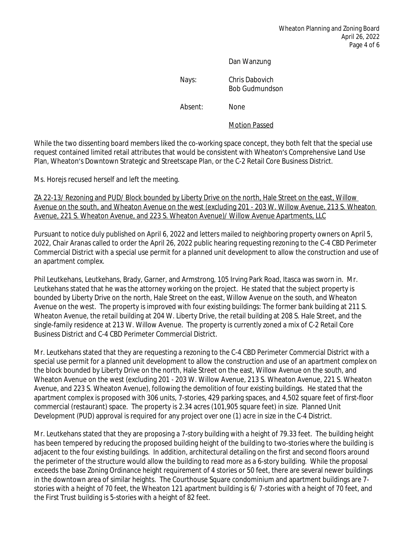#### Dan Wanzung

Nays: Chris Dabovich Bob Gudmundson

Absent: None

Motion Passed

While the two dissenting board members liked the co-working space concept, they both felt that the special use request contained limited retail attributes that would be consistent with Wheaton's Comprehensive Land Use Plan, Wheaton's Downtown Strategic and Streetscape Plan, or the C-2 Retail Core Business District.

Ms. Horejs recused herself and left the meeting.

ZA 22-13/ Rezoning and PUD/ Block bounded by Liberty Drive on the north, Hale Street on the east, Willow Avenue on the south, and Wheaton Avenue on the west (excluding 201 - 203 W. Willow Avenue, 213 S. Wheaton Avenue, 221 S. Wheaton Avenue, and 223 S. Wheaton Avenue)/ Willow Avenue Apartments, LLC

Pursuant to notice duly published on April 6, 2022 and letters mailed to neighboring property owners on April 5, 2022, Chair Aranas called to order the April 26, 2022 public hearing requesting rezoning to the C-4 CBD Perimeter Commercial District with a special use permit for a planned unit development to allow the construction and use of an apartment complex.

Phil Leutkehans, Leutkehans, Brady, Garner, and Armstrong, 105 Irving Park Road, Itasca was sworn in. Mr. Leutkehans stated that he was the attorney working on the project. He stated that the subject property is bounded by Liberty Drive on the north, Hale Street on the east, Willow Avenue on the south, and Wheaton Avenue on the west. The property is improved with four existing buildings: The former bank building at 211 S. Wheaton Avenue, the retail building at 204 W. Liberty Drive, the retail building at 208 S. Hale Street, and the single-family residence at 213 W. Willow Avenue. The property is currently zoned a mix of C-2 Retail Core Business District and C-4 CBD Perimeter Commercial District.

Mr. Leutkehans stated that they are requesting a rezoning to the C-4 CBD Perimeter Commercial District with a special use permit for a planned unit development to allow the construction and use of an apartment complex on the block bounded by Liberty Drive on the north, Hale Street on the east, Willow Avenue on the south, and Wheaton Avenue on the west (excluding 201 - 203 W. Willow Avenue, 213 S. Wheaton Avenue, 221 S. Wheaton Avenue, and 223 S. Wheaton Avenue), following the demolition of four existing buildings. He stated that the apartment complex is proposed with 306 units, 7-stories, 429 parking spaces, and 4,502 square feet of first-floor commercial (restaurant) space. The property is 2.34 acres (101,905 square feet) in size. Planned Unit Development (PUD) approval is required for any project over one (1) acre in size in the C-4 District.

Mr. Leutkehans stated that they are proposing a 7-story building with a height of 79.33 feet. The building height has been tempered by reducing the proposed building height of the building to two-stories where the building is adjacent to the four existing buildings. In addition, architectural detailing on the first and second floors around the perimeter of the structure would allow the building to read more as a 6-story building. While the proposal exceeds the base Zoning Ordinance height requirement of 4 stories or 50 feet, there are several newer buildings in the downtown area of similar heights. The Courthouse Square condominium and apartment buildings are 7 stories with a height of 70 feet, the Wheaton 121 apartment building is 6/ 7-stories with a height of 70 feet, and the First Trust building is 5-stories with a height of 82 feet.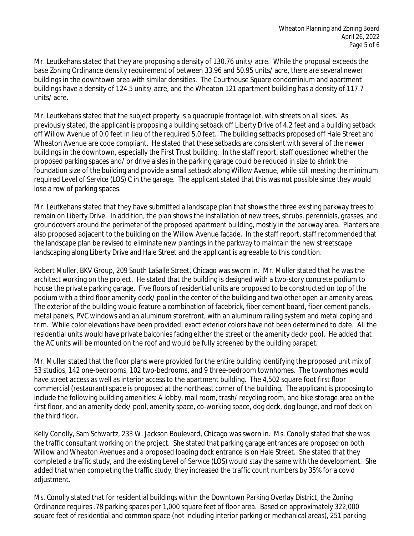Mr. Leutkehans stated that they are proposing a density of 130.76 units/ acre. While the proposal exceeds the base Zoning Ordinance density requirement of between 33.96 and 50.95 units/ acre, there are several newer buildings in the downtown area with similar densities. The Courthouse Square condominium and apartment buildings have a density of 124.5 units/ acre, and the Wheaton 121 apartment building has a density of 117.7 units/ acre.

Mr. Leutkehans stated that the subject property is a quadruple frontage lot, with streets on all sides. As previously stated, the applicant is proposing a building setback off Liberty Drive of 4.2 feet and a building setback off Willow Avenue of 0.0 feet in lieu of the required 5.0 feet. The building setbacks proposed off Hale Street and Wheaton Avenue are code compliant. He stated that these setbacks are consistent with several of the newer buildings in the downtown, especially the First Trust building. In the staff report, staff questioned whether the proposed parking spaces and/ or drive aisles in the parking garage could be reduced in size to shrink the foundation size of the building and provide a small setback along Willow Avenue, while still meeting the minimum required Level of Service (LOS) C in the garage. The applicant stated that this was not possible since they would lose a row of parking spaces.

Mr. Leutkehans stated that they have submitted a landscape plan that shows the three existing parkway trees to remain on Liberty Drive. In addition, the plan shows the installation of new trees, shrubs, perennials, grasses, and groundcovers around the perimeter of the proposed apartment building, mostly in the parkway area. Planters are also proposed adjacent to the building on the Willow Avenue facade. In the staff report, staff recommended that the landscape plan be revised to eliminate new plantings in the parkway to maintain the new streetscape landscaping along Liberty Drive and Hale Street and the applicant is agreeable to this condition.

Robert Muller, BKV Group, 209 South LaSalle Street, Chicago was sworn in. Mr. Muller stated that he was the architect working on the project. He stated that the building is designed with a two-story concrete podium to house the private parking garage. Five floors of residential units are proposed to be constructed on top of the podium with a third floor amenity deck/ pool in the center of the building and two other open air amenity areas. The exterior of the building would feature a combination of facebrick, fiber cement board, fiber cement panels, metal panels, PVC windows and an aluminum storefront, with an aluminum railing system and metal coping and trim. While color elevations have been provided, exact exterior colors have not been determined to date. All the residential units would have private balconies facing either the street or the amenity deck/ pool. He added that the AC units will be mounted on the roof and would be fully screened by the building parapet.

Mr. Muller stated that the floor plans were provided for the entire building identifying the proposed unit mix of 53 studios, 142 one-bedrooms, 102 two-bedrooms, and 9 three-bedroom townhomes. The townhomes would have street access as well as interior access to the apartment building. The 4,502 square foot first floor commercial (restaurant) space is proposed at the northeast corner of the building. The applicant is proposing to include the following building amenities: A lobby, mail room, trash/ recycling room, and bike storage area on the first floor, and an amenity deck/ pool, amenity space, co-working space, dog deck, dog lounge, and roof deck on the third floor.

Kelly Conolly, Sam Schwartz, 233 W. Jackson Boulevard, Chicago was sworn in. Ms. Conolly stated that she was the traffic consultant working on the project. She stated that parking garage entrances are proposed on both Willow and Wheaton Avenues and a proposed loading dock entrance is on Hale Street. She stated that they completed a traffic study, and the existing Level of Service (LOS) would stay the same with the development. She added that when completing the traffic study, they increased the traffic count numbers by 35% for a covid adjustment.

Ms. Conolly stated that for residential buildings within the Downtown Parking Overlay District, the Zoning Ordinance requires .78 parking spaces per 1,000 square feet of floor area. Based on approximately 322,000 square feet of residential and common space (not including interior parking or mechanical areas), 251 parking